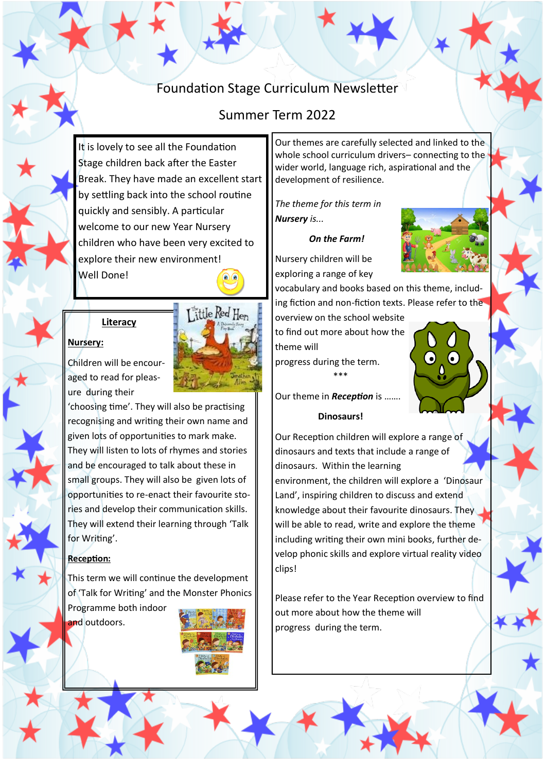# Foundation Stage Curriculum Newsletter

## Summer Term 2022

It is lovely to see all the Foundation Stage children back after the Easter Break. They have made an excellent start by settling back into the school routine quickly and sensibly. A particular welcome to our new Year Nursery children who have been very excited to explore their new environment! Well Done!



Little Red Hen

## **Literacy**

### **Nursery:**

Children will be encouraged to read for pleasure during their

'choosing time'. They will also be practising recognising and writing their own name and given lots of opportunities to mark make. They will listen to lots of rhymes and stories and be encouraged to talk about these in small groups. They will also be given lots of opportunities to re-enact their favourite stories and develop their communication skills. They will extend their learning through 'Talk for Writing'.

### **Reception:**

This term we will continue the development of 'Talk for Writing' and the Monster Phonics Programme both indoor and outdoors.



Our themes are carefully selected and linked to the whole school curriculum drivers– connecting to the wider world, language rich, aspirational and the development of resilience.

*The theme for this term in Nursery is...*

#### *On the Farm!*



Nursery children will be exploring a range of key

vocabulary and books based on this theme, including fiction and non-fiction texts. Please refer to the

overview on the school website to find out more about how the theme will

progress during the term. \*\*\*



Our theme in *Reception* is …….

### **Dinosaurs!**

Our Reception children will explore a range of dinosaurs and texts that include a range of dinosaurs. Within the learning

environment, the children will explore a 'Dinosaur Land', inspiring children to discuss and extend knowledge about their favourite dinosaurs. They will be able to read, write and explore the theme including writing their own mini books, further develop phonic skills and explore virtual reality video clips!

Please refer to the Year Reception overview to find out more about how the theme will progress during the term.